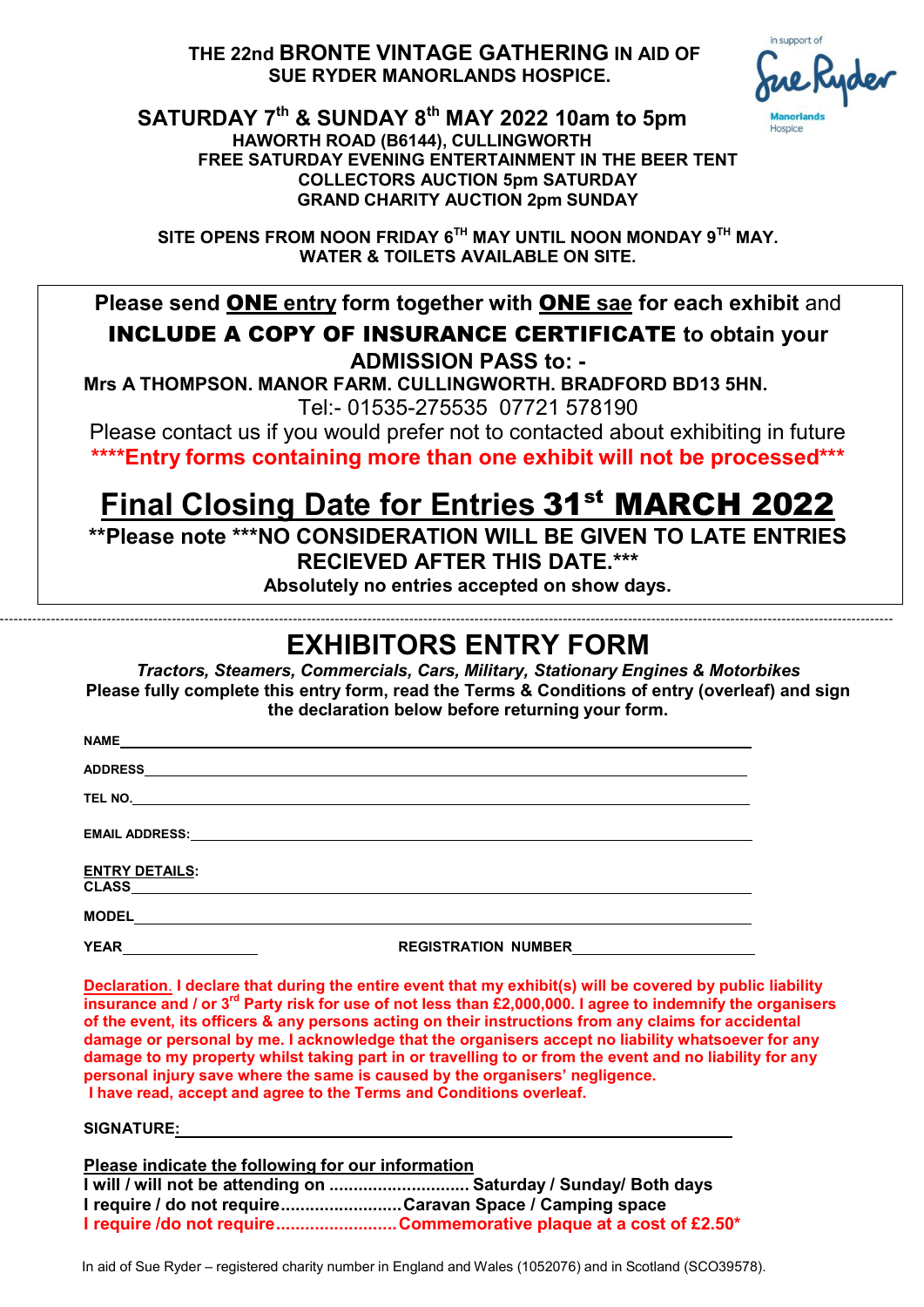THE 22nd BRONTE VINTAGE GATHERING IN AID OF SUE RYDER MANORLANDS HOSPICE.



SATURDAY 7<sup>th</sup> & SUNDAY 8<sup>th</sup> MAY 2022 10am to 5pm HAWORTH ROAD (B6144), CULLINGWORTH FREE SATURDAY EVENING ENTERTAINMENT IN THE BEER TENT COLLECTORS AUCTION 5pm SATURDAY GRAND CHARITY AUCTION 2pm SUNDAY

SITE OPENS FROM NOON FRIDAY  $6^{TH}$  MAY UNTIL NOON MONDAY  $9^{TH}$  MAY. WATER & TOILETS AVAILABLE ON SITE.

Please send **ONE** entry form together with **ONE** sae for each exhibit and INCLUDE A COPY OF INSURANCE CERTIFICATE to obtain your ADMISSION PASS to: -

Mrs A THOMPSON. MANOR FARM. CULLINGWORTH. BRADFORD BD13 5HN. Tel:- 01535-275535 07721 578190

Please contact us if you would prefer not to contacted about exhibiting in future \*\*\*\*Entry forms containing more than one exhibit will not be processed\*\*\*

## Final Closing Date for Entries 31<sup>st</sup> MARCH 2022

\*\*Please note \*\*\*NO CONSIDERATION WILL BE GIVEN TO LATE ENTRIES RECIEVED AFTER THIS DATE.\*\*\*

Absolutely no entries accepted on show days.

### EXHIBITORS ENTRY FORM

Tractors, Steamers, Commercials, Cars, Military, Stationary Engines & Motorbikes Please fully complete this entry form, read the Terms & Conditions of entry (overleaf) and sign the declaration below before returning your form.

| <b>NAME</b>                               |                            |  |
|-------------------------------------------|----------------------------|--|
| <b>ADDRESS</b>                            |                            |  |
|                                           |                            |  |
|                                           |                            |  |
| <b>ENTRY DETAILS:</b><br>CLASS___________ |                            |  |
| <b>MODEL</b>                              |                            |  |
| <b>YEAR</b>                               | <b>REGISTRATION NUMBER</b> |  |

Declaration. I declare that during the entire event that my exhibit(s) will be covered by public liability insurance and / or 3rd Party risk for use of not less than £2,000,000. I agree to indemnify the organisers of the event, its officers & any persons acting on their instructions from any claims for accidental damage or personal by me. I acknowledge that the organisers accept no liability whatsoever for any damage to my property whilst taking part in or travelling to or from the event and no liability for any personal injury save where the same is caused by the organisers' negligence. I have read, accept and agree to the Terms and Conditions overleaf.

### SIGNATURE:

Please indicate the following for our information

|                                                         | I will / will not be attending on  Saturday / Sunday/ Both days   |
|---------------------------------------------------------|-------------------------------------------------------------------|
| I require / do not requireCaravan Space / Camping space |                                                                   |
|                                                         | I require /do not requireCommemorative plaque at a cost of £2.50* |

In aid of Sue Ryder – registered charity number in England and Wales (1052076) and in Scotland (SCO39578).